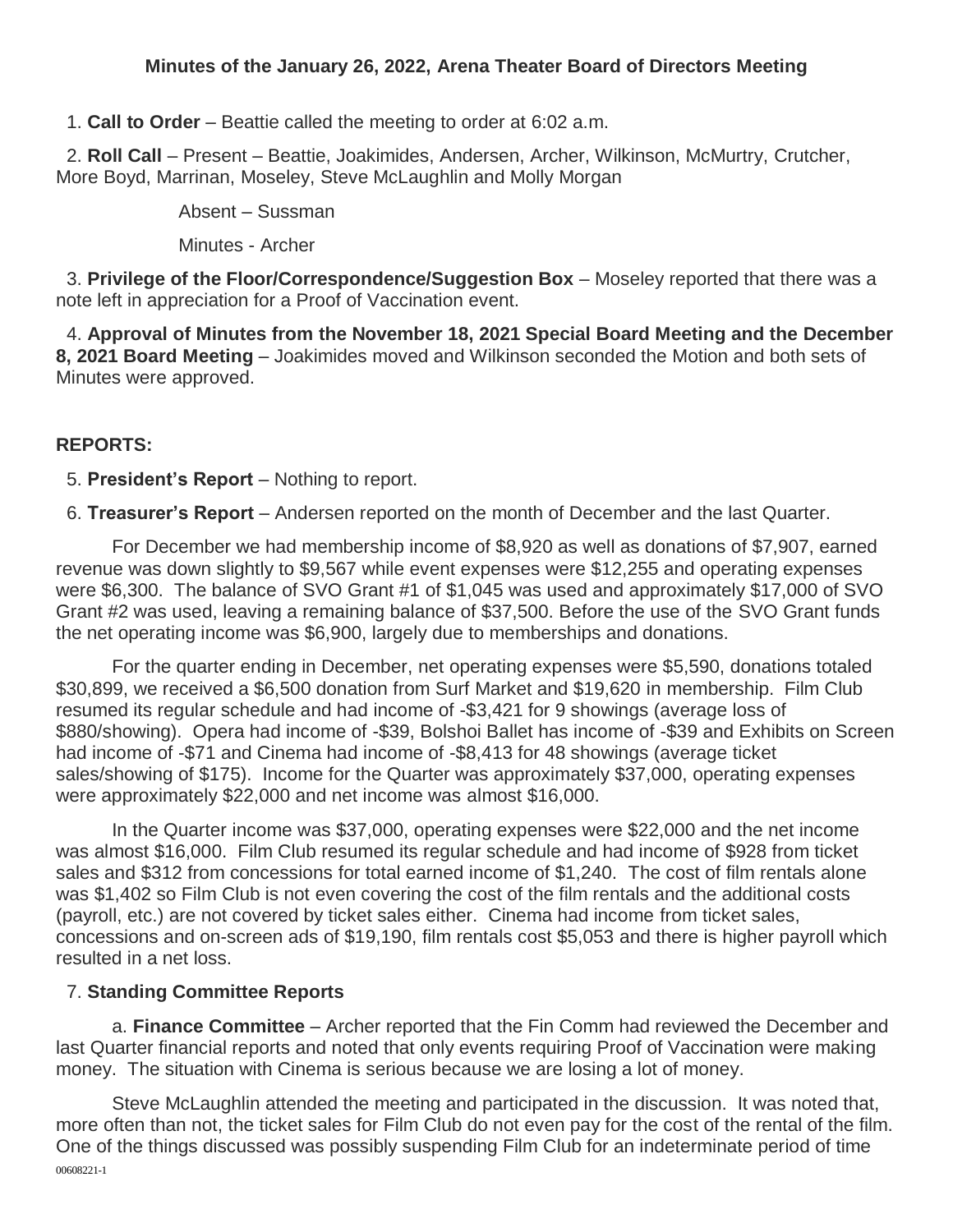### **Minutes of the January 26, 2022, Arena Theater Board of Directors Meeting**

1. **Call to Order** – Beattie called the meeting to order at 6:02 a.m.

2. **Roll Call** – Present – Beattie, Joakimides, Andersen, Archer, Wilkinson, McMurtry, Crutcher, More Boyd, Marrinan, Moseley, Steve McLaughlin and Molly Morgan

Absent – Sussman

Minutes - Archer

3. **Privilege of the Floor/Correspondence/Suggestion Box** – Moseley reported that there was a note left in appreciation for a Proof of Vaccination event.

4. **Approval of Minutes from the November 18, 2021 Special Board Meeting and the December 8, 2021 Board Meeting** – Joakimides moved and Wilkinson seconded the Motion and both sets of Minutes were approved.

### **REPORTS:**

5. **President's Report** – Nothing to report.

6. **Treasurer's Report** – Andersen reported on the month of December and the last Quarter.

For December we had membership income of \$8,920 as well as donations of \$7,907, earned revenue was down slightly to \$9,567 while event expenses were \$12,255 and operating expenses were \$6,300. The balance of SVO Grant #1 of \$1,045 was used and approximately \$17,000 of SVO Grant #2 was used, leaving a remaining balance of \$37,500. Before the use of the SVO Grant funds the net operating income was \$6,900, largely due to memberships and donations.

For the quarter ending in December, net operating expenses were \$5,590, donations totaled \$30,899, we received a \$6,500 donation from Surf Market and \$19,620 in membership. Film Club resumed its regular schedule and had income of -\$3,421 for 9 showings (average loss of \$880/showing). Opera had income of -\$39, Bolshoi Ballet has income of -\$39 and Exhibits on Screen had income of -\$71 and Cinema had income of -\$8,413 for 48 showings (average ticket sales/showing of \$175). Income for the Quarter was approximately \$37,000, operating expenses were approximately \$22,000 and net income was almost \$16,000.

In the Quarter income was \$37,000, operating expenses were \$22,000 and the net income was almost \$16,000. Film Club resumed its regular schedule and had income of \$928 from ticket sales and \$312 from concessions for total earned income of \$1,240. The cost of film rentals alone was \$1,402 so Film Club is not even covering the cost of the film rentals and the additional costs (payroll, etc.) are not covered by ticket sales either. Cinema had income from ticket sales, concessions and on-screen ads of \$19,190, film rentals cost \$5,053 and there is higher payroll which resulted in a net loss.

#### 7. **Standing Committee Reports**

a. **Finance Committee** – Archer reported that the Fin Comm had reviewed the December and last Quarter financial reports and noted that only events requiring Proof of Vaccination were making money. The situation with Cinema is serious because we are losing a lot of money.

00608221-1 Steve McLaughlin attended the meeting and participated in the discussion. It was noted that, more often than not, the ticket sales for Film Club do not even pay for the cost of the rental of the film. One of the things discussed was possibly suspending Film Club for an indeterminate period of time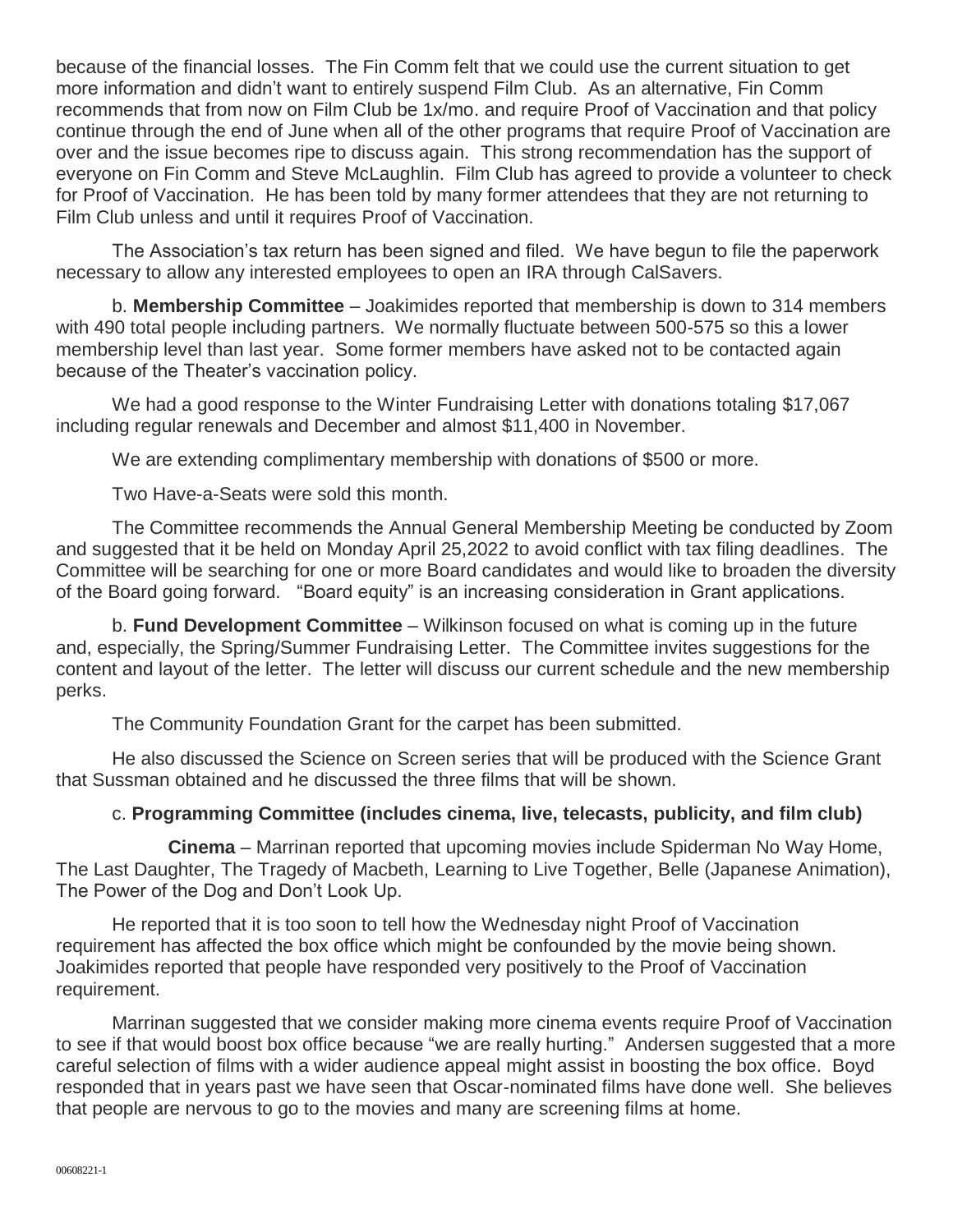because of the financial losses. The Fin Comm felt that we could use the current situation to get more information and didn't want to entirely suspend Film Club. As an alternative, Fin Comm recommends that from now on Film Club be 1x/mo. and require Proof of Vaccination and that policy continue through the end of June when all of the other programs that require Proof of Vaccination are over and the issue becomes ripe to discuss again. This strong recommendation has the support of everyone on Fin Comm and Steve McLaughlin. Film Club has agreed to provide a volunteer to check for Proof of Vaccination. He has been told by many former attendees that they are not returning to Film Club unless and until it requires Proof of Vaccination.

The Association's tax return has been signed and filed. We have begun to file the paperwork necessary to allow any interested employees to open an IRA through CalSavers.

b. **Membership Committee** – Joakimides reported that membership is down to 314 members with 490 total people including partners. We normally fluctuate between 500-575 so this a lower membership level than last year. Some former members have asked not to be contacted again because of the Theater's vaccination policy.

We had a good response to the Winter Fundraising Letter with donations totaling \$17,067 including regular renewals and December and almost \$11,400 in November.

We are extending complimentary membership with donations of \$500 or more.

Two Have-a-Seats were sold this month.

The Committee recommends the Annual General Membership Meeting be conducted by Zoom and suggested that it be held on Monday April 25,2022 to avoid conflict with tax filing deadlines. The Committee will be searching for one or more Board candidates and would like to broaden the diversity of the Board going forward. "Board equity" is an increasing consideration in Grant applications.

b. **Fund Development Committee** – Wilkinson focused on what is coming up in the future and, especially, the Spring/Summer Fundraising Letter. The Committee invites suggestions for the content and layout of the letter. The letter will discuss our current schedule and the new membership perks.

The Community Foundation Grant for the carpet has been submitted.

He also discussed the Science on Screen series that will be produced with the Science Grant that Sussman obtained and he discussed the three films that will be shown.

#### c. **Programming Committee (includes cinema, live, telecasts, publicity, and film club)**

**Cinema** – Marrinan reported that upcoming movies include Spiderman No Way Home, The Last Daughter, The Tragedy of Macbeth, Learning to Live Together, Belle (Japanese Animation), The Power of the Dog and Don't Look Up.

He reported that it is too soon to tell how the Wednesday night Proof of Vaccination requirement has affected the box office which might be confounded by the movie being shown. Joakimides reported that people have responded very positively to the Proof of Vaccination requirement.

Marrinan suggested that we consider making more cinema events require Proof of Vaccination to see if that would boost box office because "we are really hurting." Andersen suggested that a more careful selection of films with a wider audience appeal might assist in boosting the box office. Boyd responded that in years past we have seen that Oscar-nominated films have done well. She believes that people are nervous to go to the movies and many are screening films at home.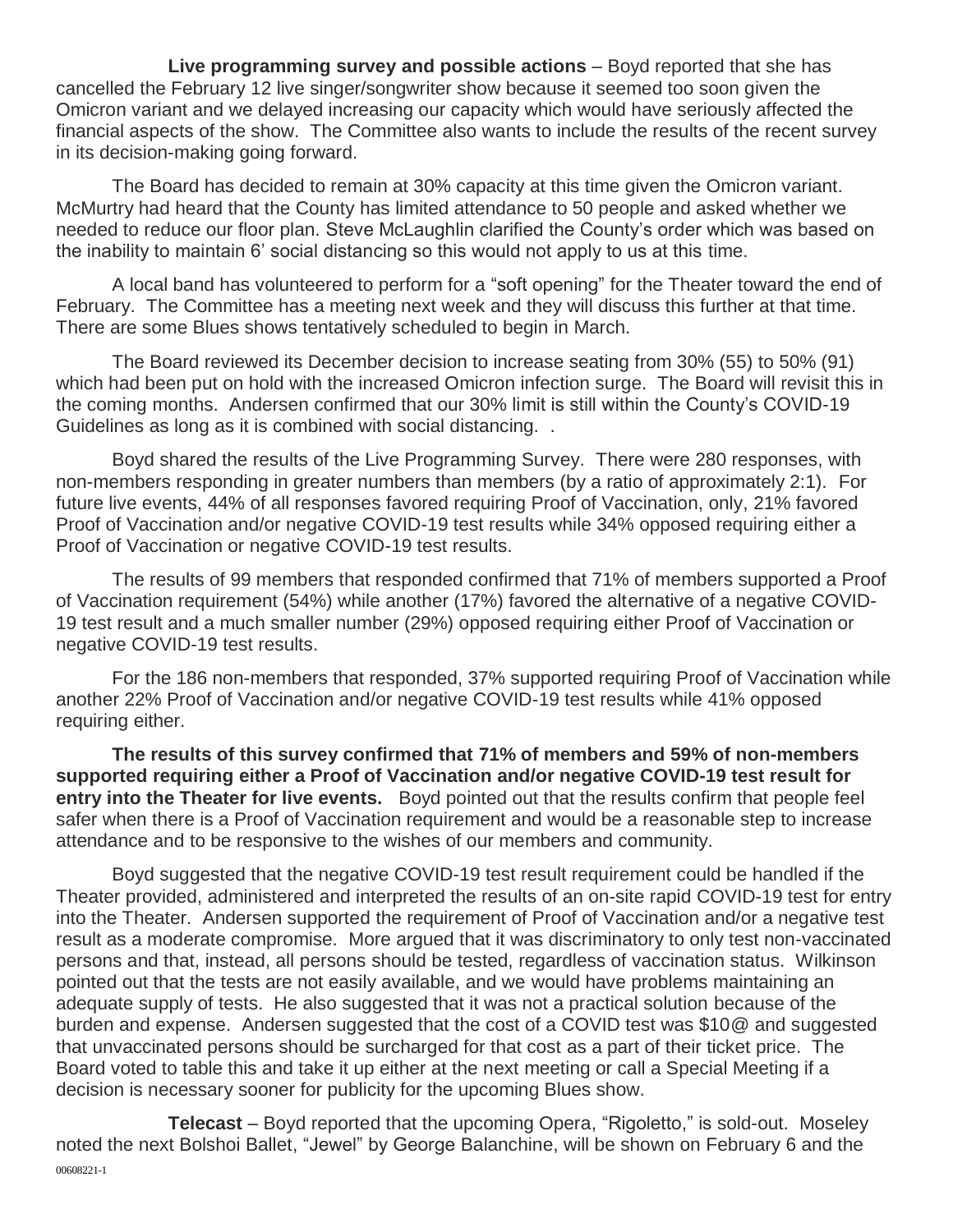**Live programming survey and possible actions** – Boyd reported that she has cancelled the February 12 live singer/songwriter show because it seemed too soon given the Omicron variant and we delayed increasing our capacity which would have seriously affected the financial aspects of the show. The Committee also wants to include the results of the recent survey in its decision-making going forward.

The Board has decided to remain at 30% capacity at this time given the Omicron variant. McMurtry had heard that the County has limited attendance to 50 people and asked whether we needed to reduce our floor plan. Steve McLaughlin clarified the County's order which was based on the inability to maintain 6' social distancing so this would not apply to us at this time.

A local band has volunteered to perform for a "soft opening" for the Theater toward the end of February. The Committee has a meeting next week and they will discuss this further at that time. There are some Blues shows tentatively scheduled to begin in March.

The Board reviewed its December decision to increase seating from 30% (55) to 50% (91) which had been put on hold with the increased Omicron infection surge. The Board will revisit this in the coming months. Andersen confirmed that our 30% limit is still within the County's COVID-19 Guidelines as long as it is combined with social distancing. .

Boyd shared the results of the Live Programming Survey. There were 280 responses, with non-members responding in greater numbers than members (by a ratio of approximately 2:1). For future live events, 44% of all responses favored requiring Proof of Vaccination, only, 21% favored Proof of Vaccination and/or negative COVID-19 test results while 34% opposed requiring either a Proof of Vaccination or negative COVID-19 test results.

The results of 99 members that responded confirmed that 71% of members supported a Proof of Vaccination requirement (54%) while another (17%) favored the alternative of a negative COVID-19 test result and a much smaller number (29%) opposed requiring either Proof of Vaccination or negative COVID-19 test results.

For the 186 non-members that responded, 37% supported requiring Proof of Vaccination while another 22% Proof of Vaccination and/or negative COVID-19 test results while 41% opposed requiring either.

**The results of this survey confirmed that 71% of members and 59% of non-members supported requiring either a Proof of Vaccination and/or negative COVID-19 test result for entry into the Theater for live events.** Boyd pointed out that the results confirm that people feel safer when there is a Proof of Vaccination requirement and would be a reasonable step to increase attendance and to be responsive to the wishes of our members and community.

Boyd suggested that the negative COVID-19 test result requirement could be handled if the Theater provided, administered and interpreted the results of an on-site rapid COVID-19 test for entry into the Theater. Andersen supported the requirement of Proof of Vaccination and/or a negative test result as a moderate compromise. More argued that it was discriminatory to only test non-vaccinated persons and that, instead, all persons should be tested, regardless of vaccination status. Wilkinson pointed out that the tests are not easily available, and we would have problems maintaining an adequate supply of tests. He also suggested that it was not a practical solution because of the burden and expense. Andersen suggested that the cost of a COVID test was \$10@ and suggested that unvaccinated persons should be surcharged for that cost as a part of their ticket price. The Board voted to table this and take it up either at the next meeting or call a Special Meeting if a decision is necessary sooner for publicity for the upcoming Blues show.

00608221-1 **Telecast** – Boyd reported that the upcoming Opera, "Rigoletto," is sold-out. Moseley noted the next Bolshoi Ballet, "Jewel" by George Balanchine, will be shown on February 6 and the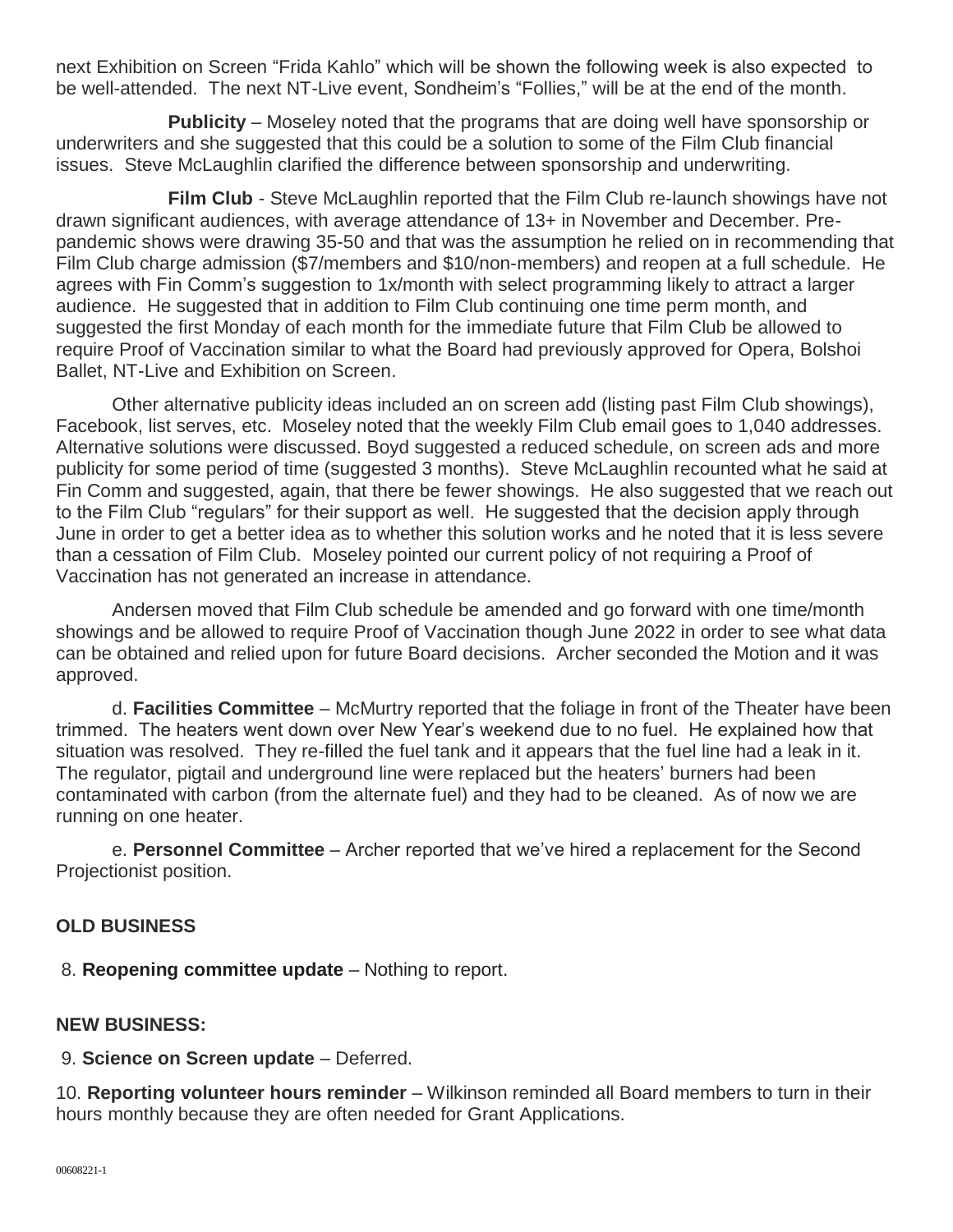next Exhibition on Screen "Frida Kahlo" which will be shown the following week is also expected to be well-attended. The next NT-Live event, Sondheim's "Follies," will be at the end of the month.

**Publicity** – Moseley noted that the programs that are doing well have sponsorship or underwriters and she suggested that this could be a solution to some of the Film Club financial issues. Steve McLaughlin clarified the difference between sponsorship and underwriting.

**Film Club** - Steve McLaughlin reported that the Film Club re-launch showings have not drawn significant audiences, with average attendance of 13+ in November and December. Prepandemic shows were drawing 35-50 and that was the assumption he relied on in recommending that Film Club charge admission (\$7/members and \$10/non-members) and reopen at a full schedule. He agrees with Fin Comm's suggestion to 1x/month with select programming likely to attract a larger audience. He suggested that in addition to Film Club continuing one time perm month, and suggested the first Monday of each month for the immediate future that Film Club be allowed to require Proof of Vaccination similar to what the Board had previously approved for Opera, Bolshoi Ballet, NT-Live and Exhibition on Screen.

Other alternative publicity ideas included an on screen add (listing past Film Club showings), Facebook, list serves, etc. Moseley noted that the weekly Film Club email goes to 1,040 addresses. Alternative solutions were discussed. Boyd suggested a reduced schedule, on screen ads and more publicity for some period of time (suggested 3 months). Steve McLaughlin recounted what he said at Fin Comm and suggested, again, that there be fewer showings. He also suggested that we reach out to the Film Club "regulars" for their support as well. He suggested that the decision apply through June in order to get a better idea as to whether this solution works and he noted that it is less severe than a cessation of Film Club. Moseley pointed our current policy of not requiring a Proof of Vaccination has not generated an increase in attendance.

Andersen moved that Film Club schedule be amended and go forward with one time/month showings and be allowed to require Proof of Vaccination though June 2022 in order to see what data can be obtained and relied upon for future Board decisions. Archer seconded the Motion and it was approved.

d. **Facilities Committee** – McMurtry reported that the foliage in front of the Theater have been trimmed. The heaters went down over New Year's weekend due to no fuel. He explained how that situation was resolved. They re-filled the fuel tank and it appears that the fuel line had a leak in it. The regulator, pigtail and underground line were replaced but the heaters' burners had been contaminated with carbon (from the alternate fuel) and they had to be cleaned. As of now we are running on one heater.

e. **Personnel Committee** – Archer reported that we've hired a replacement for the Second Projectionist position.

# **OLD BUSINESS**

8. **Reopening committee update** – Nothing to report.

# **NEW BUSINESS:**

9. **Science on Screen update** – Deferred.

10. **Reporting volunteer hours reminder** – Wilkinson reminded all Board members to turn in their hours monthly because they are often needed for Grant Applications.